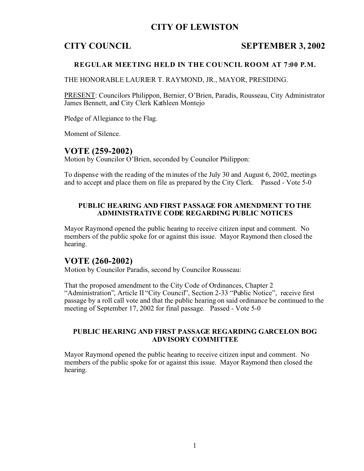# **CITY OF LEWISTON**

# **CITY COUNCIL SEPTEMBER 3, 2002**

### **REGULAR MEETING HELD IN THE COUNCIL ROOM AT 7:00 P.M.**

THE HONORABLE LAURIER T. RAYMOND, JR., MAYOR, PRESIDING.

PRESENT: Councilors Philippon, Bernier, O'Brien, Paradis, Rousseau, City Administrator James Bennett, and City Clerk Kathleen Montejo

Pledge of Allegiance to the Flag.

Moment of Silence.

## **VOTE (259-2002)**

Motion by Councilor O'Brien, seconded by Councilor Philippon:

To dispense with the reading of the minutes of the July 30 and August 6, 2002, meetings and to accept and place them on file as prepared by the City Clerk. Passed - Vote 5-0

#### **PUBLIC HEARING AND FIRST PASSAGE FOR AMENDMENT TO THE ADMINISTRATIVE CODE REGARDING PUBLIC NOTICES**

Mayor Raymond opened the public hearing to receive citizen input and comment. No members of the public spoke for or against this issue. Mayor Raymond then closed the hearing.

# **VOTE (260-2002)**

Motion by Councilor Paradis, second by Councilor Rousseau:

That the proposed amendment to the City Code of Ordinances, Chapter 2 "Administration", Article II "City Council", Section 2-33 "Public Notice", receive first passage by a roll call vote and that the public hearing on said ordinance be continued to the meeting of September 17, 2002 for final passage. Passed - Vote 5-0

#### **PUBLIC HEARING AND FIRST PASSAGE REGARDING GARCELON BOG ADVISORY COMMITTEE**

Mayor Raymond opened the public hearing to receive citizen input and comment. No members of the public spoke for or against this issue. Mayor Raymond then closed the hearing.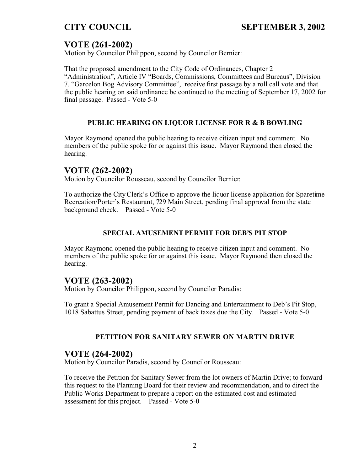# **VOTE (261-2002)**

Motion by Councilor Philippon, second by Councilor Bernier:

That the proposed amendment to the City Code of Ordinances, Chapter 2 "Administration", Article IV "Boards, Commissions, Committees and Bureaus", Division 7. "Garcelon Bog Advisory Committee", receive first passage by a roll call vote and that the public hearing on said ordinance be continued to the meeting of September 17, 2002 for final passage. Passed - Vote 5-0

# **PUBLIC HEARING ON LIQUOR LICENSE FOR R & B BOWLING**

Mayor Raymond opened the public hearing to receive citizen input and comment. No members of the public spoke for or against this issue. Mayor Raymond then closed the hearing.

# **VOTE (262-2002)**

Motion by Councilor Rousseau, second by Councilor Bernier:

To authorize the City Clerk's Office to approve the liquor license application for Sparetime Recreation/Porter's Restaurant, 729 Main Street, pending final approval from the state background check. Passed - Vote 5-0

## **SPECIAL AMUSEMENT PERMIT FOR DEB'S PIT STOP**

Mayor Raymond opened the public hearing to receive citizen input and comment. No members of the public spoke for or against this issue. Mayor Raymond then closed the hearing.

# **VOTE (263-2002)**

Motion by Councilor Philippon, second by Councilor Paradis:

To grant a Special Amusement Permit for Dancing and Entertainment to Deb's Pit Stop, 1018 Sabattus Street, pending payment of back taxes due the City. Passed - Vote 5-0

# **PETITION FOR SANITARY SEWER ON MARTIN DRIVE**

# **VOTE (264-2002)**

Motion by Councilor Paradis, second by Councilor Rousseau:

To receive the Petition for Sanitary Sewer from the lot owners of Martin Drive; to forward this request to the Planning Board for their review and recommendation, and to direct the Public Works Department to prepare a report on the estimated cost and estimated assessment for this project. Passed - Vote 5-0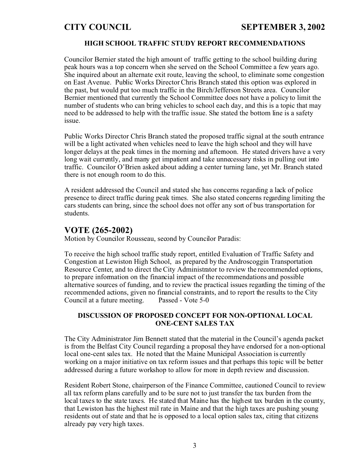### **HIGH SCHOOL TRAFFIC STUDY REPORT RECOMMENDATIONS**

Councilor Bernier stated the high amount of traffic getting to the school building during peak hours was a top concern when she served on the School Committee a few years ago. She inquired about an alternate exit route, leaving the school, to eliminate some congestion on East Avenue. Public Works Director Chris Branch stated this option was explored in the past, but would put too much traffic in the Birch/Jefferson Streets area. Councilor Bernier mentioned that currently the School Committee does not have a policy to limit the number of students who can bring vehicles to school each day, and this is a topic that may need to be addressed to help with the traffic issue. She stated the bottom line is a safety issue.

Public Works Director Chris Branch stated the proposed traffic signal at the south entrance will be a light activated when vehicles need to leave the high school and they will have longer delays at the peak times in the morning and afternoon. He stated drivers have a very long wait currently, and many get impatient and take unnecessary risks in pulling out into traffic. Councilor O'Brien asked about adding a center turning lane, yet Mr. Branch stated there is not enough room to do this.

A resident addressed the Council and stated she has concerns regarding a lack of police presence to direct traffic during peak times. She also stated concerns regarding limiting the cars students can bring, since the school does not offer any sort of bus transportation for students.

# **VOTE (265-2002)**

Motion by Councilor Rousseau, second by Councilor Paradis:

To receive the high school traffic study report, entitled Evaluation of Traffic Safety and Congestion at Lewiston High School, as prepared by the Androscoggin Transportation Resource Center, and to direct the City Administrator to review the recommended options, to prepare information on the financial impact of the recommendations and possible alternative sources of funding, and to review the practical issues regarding the timing of the recommended actions, given no financial constraints, and to report the results to the City Council at a future meeting. Passed - Vote 5-0

#### **DISCUSSION OF PROPOSED CONCEPT FOR NON-OPTIONAL LOCAL ONE-CENT SALES TAX**

The City Administrator Jim Bennett stated that the material in the Council's agenda packet is from the Belfast City Council regarding a proposal they have endorsed for a non-optional local one-cent sales tax. He noted that the Maine Municipal Association is currently working on a major initiative on tax reform issues and that perhaps this topic will be better addressed during a future workshop to allow for more in depth review and discussion.

Resident Robert Stone, chairperson of the Finance Committee, cautioned Council to review all tax reform plans carefully and to be sure not to just transfer the tax burden from the local taxes to the state taxes. He stated that Maine has the highest tax burden in the county, that Lewiston has the highest mil rate in Maine and that the high taxes are pushing young residents out of state and that he is opposed to a local option sales tax, citing that citizens already pay very high taxes.